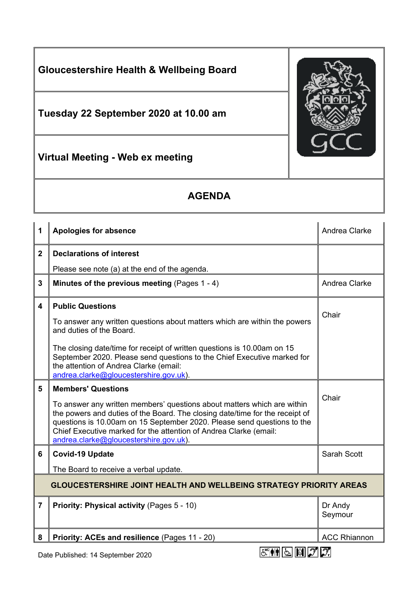

## **AGENDA**

| 1                                                                                  | <b>Apologies for absence</b>                                                                                                                                                                                                                                                                                                                                                   | Andrea Clarke       |  |
|------------------------------------------------------------------------------------|--------------------------------------------------------------------------------------------------------------------------------------------------------------------------------------------------------------------------------------------------------------------------------------------------------------------------------------------------------------------------------|---------------------|--|
| $\overline{2}$                                                                     | <b>Declarations of interest</b>                                                                                                                                                                                                                                                                                                                                                |                     |  |
|                                                                                    | Please see note (a) at the end of the agenda.                                                                                                                                                                                                                                                                                                                                  |                     |  |
| 3                                                                                  | Minutes of the previous meeting (Pages 1 - 4)                                                                                                                                                                                                                                                                                                                                  | Andrea Clarke       |  |
| 4                                                                                  | <b>Public Questions</b><br>To answer any written questions about matters which are within the powers<br>and duties of the Board.<br>The closing date/time for receipt of written questions is 10.00am on 15                                                                                                                                                                    | Chair               |  |
|                                                                                    | September 2020. Please send questions to the Chief Executive marked for<br>the attention of Andrea Clarke (email:<br>andrea.clarke@gloucestershire.gov.uk).                                                                                                                                                                                                                    |                     |  |
| 5                                                                                  | <b>Members' Questions</b><br>To answer any written members' questions about matters which are within<br>the powers and duties of the Board. The closing date/time for the receipt of<br>questions is 10.00am on 15 September 2020. Please send questions to the<br>Chief Executive marked for the attention of Andrea Clarke (email:<br>andrea.clarke@gloucestershire.gov.uk). | Chair               |  |
| 6                                                                                  | <b>Covid-19 Update</b><br>The Board to receive a verbal update.                                                                                                                                                                                                                                                                                                                | Sarah Scott         |  |
| <b>GLOUCESTERSHIRE JOINT HEALTH AND WELLBEING STRATEGY PRIORITY AREAS</b>          |                                                                                                                                                                                                                                                                                                                                                                                |                     |  |
| $\overline{7}$                                                                     | Priority: Physical activity (Pages 5 - 10)                                                                                                                                                                                                                                                                                                                                     | Dr Andy<br>Seymour  |  |
| 8                                                                                  | Priority: ACEs and resilience (Pages 11 - 20)                                                                                                                                                                                                                                                                                                                                  | <b>ACC Rhiannon</b> |  |
| $E^{\text{eff}}$ $\boxed{5}$ $\boxed{6}$ $27$<br>Date Published: 14 September 2020 |                                                                                                                                                                                                                                                                                                                                                                                |                     |  |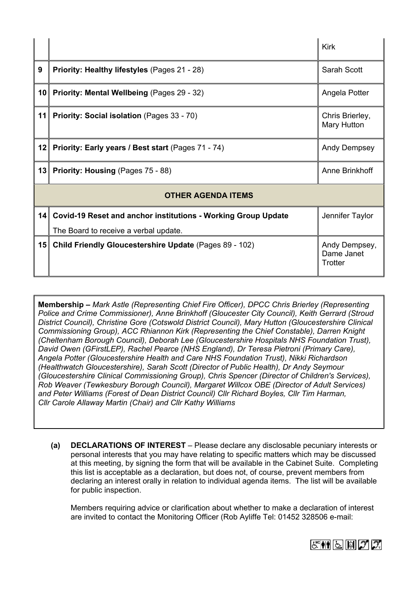|                           |                                                                  | Kirk                                   |  |
|---------------------------|------------------------------------------------------------------|----------------------------------------|--|
| 9                         | <b>Priority: Healthy lifestyles (Pages 21 - 28)</b>              | Sarah Scott                            |  |
| 10                        | Priority: Mental Wellbeing (Pages 29 - 32)                       | Angela Potter                          |  |
| 11                        | Priority: Social isolation (Pages 33 - 70)                       | Chris Brierley,<br>Mary Hutton         |  |
| 12                        | Priority: Early years / Best start (Pages 71 - 74)               | Andy Dempsey                           |  |
| 13                        | Priority: Housing (Pages 75 - 88)                                | Anne Brinkhoff                         |  |
| <b>OTHER AGENDA ITEMS</b> |                                                                  |                                        |  |
|                           | 14 Covid-19 Reset and anchor institutions - Working Group Update | Jennifer Taylor                        |  |
|                           | The Board to receive a verbal update.                            |                                        |  |
| 15                        | Child Friendly Gloucestershire Update (Pages 89 - 102)           | Andy Dempsey,<br>Dame Janet<br>Trotter |  |

**Membership –** *Mark Astle (Representing Chief Fire Officer), DPCC Chris Brierley (Representing Police and Crime Commissioner), Anne Brinkhoff (Gloucester City Council), Keith Gerrard (Stroud District Council), Christine Gore (Cotswold District Council), Mary Hutton (Gloucestershire Clinical Commissioning Group), ACC Rhiannon Kirk (Representing the Chief Constable), Darren Knight (Cheltenham Borough Council), Deborah Lee (Gloucestershire Hospitals NHS Foundation Trust), David Owen (GFirstLEP), Rachel Pearce (NHS England), Dr Teresa Pietroni (Primary Care), Angela Potter (Gloucestershire Health and Care NHS Foundation Trust), Nikki Richardson (Healthwatch Gloucestershire), Sarah Scott (Director of Public Health), Dr Andy Seymour (Gloucestershire Clinical Commissioning Group), Chris Spencer (Director of Children's Services), Rob Weaver (Tewkesbury Borough Council), Margaret Willcox OBE (Director of Adult Services) and Peter Williams (Forest of Dean District Council) Cllr Richard Boyles, Cllr Tim Harman, Cllr Carole Allaway Martin (Chair) and Cllr Kathy Williams*

**(a) DECLARATIONS OF INTEREST** – Please declare any disclosable pecuniary interests or personal interests that you may have relating to specific matters which may be discussed at this meeting, by signing the form that will be available in the Cabinet Suite. Completing this list is acceptable as a declaration, but does not, of course, prevent members from declaring an interest orally in relation to individual agenda items. The list will be available for public inspection.

Members requiring advice or clarification about whether to make a declaration of interest are invited to contact the Monitoring Officer (Rob Ayliffe Tel: 01452 328506 e-mail: